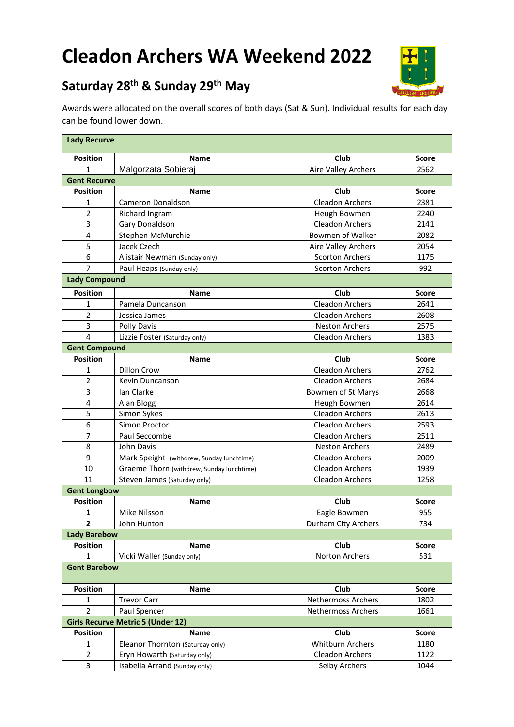# **Cleadon Archers WA Weekend 2022**



## **Saturday 28th & Sunday 29th May**

Awards were allocated on the overall scores of both days (Sat & Sun). Individual results for each day can be found lower down.

| <b>Lady Recurve</b>     |                                           |                           |              |
|-------------------------|-------------------------------------------|---------------------------|--------------|
| <b>Position</b>         | Name                                      | Club                      | <b>Score</b> |
| 1                       | Malgorzata Sobieraj                       | Aire Valley Archers       | 2562         |
| <b>Gent Recurve</b>     |                                           |                           |              |
| <b>Position</b>         | <b>Name</b>                               | Club                      | <b>Score</b> |
| 1                       | Cameron Donaldson                         | <b>Cleadon Archers</b>    | 2381         |
| $\overline{2}$          | Richard Ingram                            | Heugh Bowmen              | 2240         |
| 3                       | Gary Donaldson                            | <b>Cleadon Archers</b>    | 2141         |
| $\overline{\mathbf{4}}$ | Stephen McMurchie                         | Bowmen of Walker          | 2082         |
| 5                       | Jacek Czech                               | Aire Valley Archers       | 2054         |
| 6                       | Alistair Newman (Sunday only)             | <b>Scorton Archers</b>    | 1175         |
| 7                       | Paul Heaps (Sunday only)                  | <b>Scorton Archers</b>    | 992          |
| <b>Lady Compound</b>    |                                           |                           |              |
| <b>Position</b>         | Name                                      | Club                      | <b>Score</b> |
| 1                       | Pamela Duncanson                          | <b>Cleadon Archers</b>    | 2641         |
| $\overline{2}$          | Jessica James                             | <b>Cleadon Archers</b>    | 2608         |
| 3                       | <b>Polly Davis</b>                        | <b>Neston Archers</b>     | 2575         |
| $\overline{4}$          | Lizzie Foster (Saturday only)             | <b>Cleadon Archers</b>    | 1383         |
| <b>Gent Compound</b>    |                                           |                           |              |
| <b>Position</b>         | Name                                      | Club                      | <b>Score</b> |
| 1                       | <b>Dillon Crow</b>                        | <b>Cleadon Archers</b>    | 2762         |
| $\overline{2}$          | Kevin Duncanson                           | <b>Cleadon Archers</b>    | 2684         |
| 3                       | Ian Clarke                                | Bowmen of St Marys        | 2668         |
| $\overline{\mathbf{4}}$ | Alan Blogg                                | Heugh Bowmen              | 2614         |
| 5                       | Simon Sykes                               | <b>Cleadon Archers</b>    | 2613         |
| 6                       | Simon Proctor                             | <b>Cleadon Archers</b>    | 2593         |
| 7                       | Paul Seccombe                             | <b>Cleadon Archers</b>    | 2511         |
| 8                       | John Davis                                | <b>Neston Archers</b>     | 2489         |
| 9                       | Mark Speight (withdrew, Sunday lunchtime) | <b>Cleadon Archers</b>    | 2009         |
| 10                      | Graeme Thorn (withdrew, Sunday lunchtime) | <b>Cleadon Archers</b>    | 1939         |
| 11                      | Steven James (Saturday only)              | <b>Cleadon Archers</b>    | 1258         |
| <b>Gent Longbow</b>     |                                           |                           |              |
| <b>Position</b>         | <b>Name</b>                               | Club                      | <b>Score</b> |
| 1                       | Mike Nilsson                              | Eagle Bowmen              | 955          |
| $\mathbf{2}$            | John Hunton                               | Durham City Archers       | 734          |
| <b>Lady Barebow</b>     |                                           |                           |              |
| <b>Position</b>         | <b>Name</b>                               | Club                      | <b>Score</b> |
| $\mathbf 1$             | Vicki Waller (Sunday only)                | Norton Archers            | 531          |
| <b>Gent Barebow</b>     |                                           |                           |              |
| <b>Position</b>         | Name                                      | Club                      | <b>Score</b> |
| 1                       | <b>Trevor Carr</b>                        | <b>Nethermoss Archers</b> | 1802         |
| $\overline{2}$          | Paul Spencer                              | <b>Nethermoss Archers</b> | 1661         |
|                         | <b>Girls Recurve Metric 5 (Under 12)</b>  |                           |              |
| <b>Position</b>         | Name                                      | Club                      | <b>Score</b> |
| $\mathbf 1$             | Eleanor Thornton (Saturday only)          | <b>Whitburn Archers</b>   | 1180         |
| $\overline{2}$          | Eryn Howarth (Saturday only)              | Cleadon Archers           | 1122         |
| 3                       | Isabella Arrand (Sunday only)             | Selby Archers             | 1044         |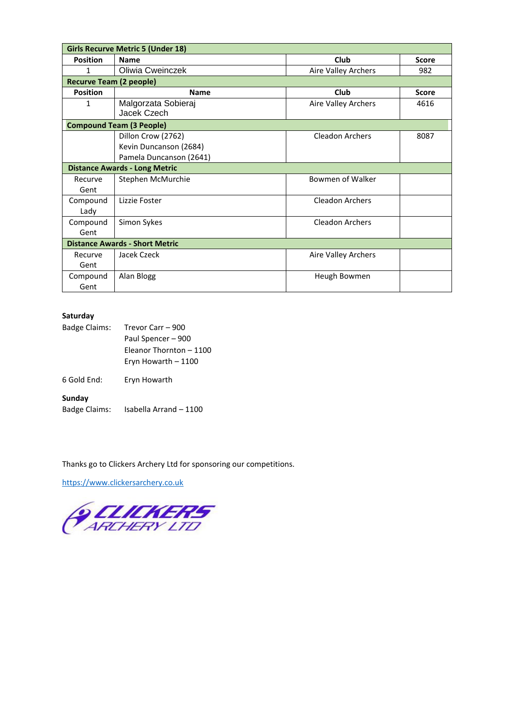|                                | <b>Girls Recurve Metric 5 (Under 18)</b> |                        |              |
|--------------------------------|------------------------------------------|------------------------|--------------|
| <b>Position</b>                | <b>Name</b>                              | Club                   | <b>Score</b> |
| 1                              | Oliwia Cweinczek                         | Aire Valley Archers    | 982          |
| <b>Recurve Team (2 people)</b> |                                          |                        |              |
| <b>Position</b>                | <b>Name</b>                              | Club                   | <b>Score</b> |
| 1                              | Malgorzata Sobieraj<br>Jacek Czech       | Aire Valley Archers    | 4616         |
|                                | <b>Compound Team (3 People)</b>          |                        |              |
|                                | Dillon Crow (2762)                       | Cleadon Archers        | 8087         |
|                                | Kevin Duncanson (2684)                   |                        |              |
|                                | Pamela Duncanson (2641)                  |                        |              |
|                                | <b>Distance Awards - Long Metric</b>     |                        |              |
| Recurve                        | Stephen McMurchie                        | Bowmen of Walker       |              |
| Gent                           |                                          |                        |              |
| Compound                       | Lizzie Foster                            | <b>Cleadon Archers</b> |              |
| Lady                           |                                          |                        |              |
| Compound                       | Simon Sykes                              | Cleadon Archers        |              |
| Gent                           |                                          |                        |              |
|                                | <b>Distance Awards - Short Metric</b>    |                        |              |
| Recurve                        | Jacek Czeck                              | Aire Valley Archers    |              |
| Gent                           |                                          |                        |              |
| Compound                       | Alan Blogg                               | Heugh Bowmen           |              |
| Gent                           |                                          |                        |              |

#### **Saturday**

| Trevor Carr - 900       |
|-------------------------|
| Paul Spencer - 900      |
| Fleanor Thornton - 1100 |
| Eryn Howarth - 1100     |
| Eryn Howarth            |
|                         |
| Isabella Arrand - 1100  |
|                         |

Thanks go to Clickers Archery Ltd for sponsoring our competitions.

[https://www.clickersarchery.co.uk](https://www.clickersarchery.co.uk/)

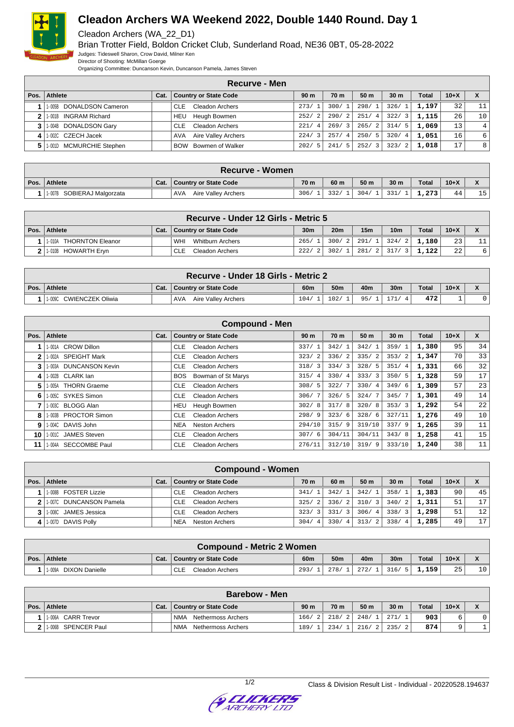

Cleadon Archers (WA\_22\_D1)

Brian Trotter Field, Boldon Cricket Club, Sunderland Road, NE36 0BT, 05-28-2022 Judges: Tideswell Sharon, Crow David, Milner Ken

Director of Shooting: McMillan Goerge

Organizing Committee: Duncanson Kevin, Duncanson Pamela, James Steven

|                |                                    |      | Recurve - Men                        |                        |                    |                 |                        |              |        |    |
|----------------|------------------------------------|------|--------------------------------------|------------------------|--------------------|-----------------|------------------------|--------------|--------|----|
|                | Pos. Athlete                       | Cat. | Country or State Code                | 90 m                   | 70 <sub>m</sub>    | 50 <sub>m</sub> | 30 <sub>m</sub>        | <b>Total</b> | $10+X$ |    |
|                | <b>DONALDSON Cameron</b><br>1-005B |      | <b>Cleadon Archers</b><br><b>CLE</b> | 273/                   | 300/1              | 298/1           | 326/                   | 1,197        | 32     | 11 |
|                | 1-001B INGRAM Richard              |      | Heugh Bowmen<br>HEU                  | 252/<br>2              | 290/<br>$\sqrt{2}$ | 251/4           | 322/3                  | 1,115        | 26     | 10 |
| 3 <sup>1</sup> | 1-004B DONALDSON Gary              |      | Cleadon Archers<br><b>CLE</b>        | 221/<br>$\overline{4}$ | 269/3              | 265/2           | 314/<br>- 5            | 1,069        | 13     | 4' |
|                | 1-002C CZECH Jacek                 |      | Aire Valley Archers<br>AVA           | $\mathbf{3}$<br>224/   | 257/<br>-41        | 250/5           | 320/<br>$\overline{4}$ | 1,051        | 16     | 6  |
|                | 1-001D MCMURCHIE Stephen           |      | Bowmen of Walker<br><b>BOW</b>       | 202/<br>- 5            | 241/<br>5.         | 252/3           | 323/<br>- 2            | 1,018        | 17     | 8  |

| <b>Recurve - Women</b>     |      |                            |                 |      |       |                 |              |        |    |
|----------------------------|------|----------------------------|-----------------|------|-------|-----------------|--------------|--------|----|
| Pos. Athlete               | Cat. | Country or State Code      | 70 <sub>m</sub> | 60 m | 50 m  | 30 <sub>m</sub> | <b>Total</b> | $10+X$ |    |
| 1-007B SOBIERAJ Malgorzata |      | AVA<br>Aire Valley Archers | 306/            | 332/ | 304/1 | 331/            | 1.273        | 44     | 15 |

| Recurve - Under 12 Girls - Metric 5 |                            |  |                                |                 |            |                      |                 |              |          |   |
|-------------------------------------|----------------------------|--|--------------------------------|-----------------|------------|----------------------|-----------------|--------------|----------|---|
|                                     | Pos.   Athlete             |  | Cat.   Country or State Code   | 30 <sub>m</sub> | <b>20m</b> | 15 <sub>m</sub>      | 10 <sub>m</sub> | <b>Total</b> | $10 + X$ |   |
|                                     | THORNTON Eleanor<br>1-010A |  | <b>Whitburn Archers</b><br>WHI | 265/            |            | 300/2   291/1   324/ | -2              | 1,180        | 23       |   |
|                                     | 1-010B HOWARTH Eryn        |  | Cleadon Archers<br>CLE         | 222/            | 302/1      | 281/2 317/           |                 | ا 122،       | 22       | 6 |

| Recurve - Under 18 Girls - Metric 2 |  |                                   |      |                 |     |                 |              |        |  |
|-------------------------------------|--|-----------------------------------|------|-----------------|-----|-----------------|--------------|--------|--|
| Pos. Athlete                        |  | Cat.   Country or State Code      | 60m  | 50 <sub>m</sub> | 40m | 30 <sub>m</sub> | <b>Total</b> | $10+X$ |  |
| CWIENCZEK Oliwia<br>1-009C          |  | <b>AVA</b><br>Aire Valley Archers | 104/ | 102/            | 95/ | 171             | 472          |        |  |

|      | <b>Compound - Men</b>            |      |                                      |                        |                        |                 |                        |              |        |                 |  |
|------|----------------------------------|------|--------------------------------------|------------------------|------------------------|-----------------|------------------------|--------------|--------|-----------------|--|
| Pos. | <b>Athlete</b>                   | Cat. | <b>Country or State Code</b>         | 90 <sub>m</sub>        | 70 m                   | 50 <sub>m</sub> | 30 <sub>m</sub>        | <b>Total</b> | $10+X$ | $\mathbf{x}$    |  |
|      | 1-001A CROW Dillon               |      | <b>CLE</b><br><b>Cleadon Archers</b> | 337/                   | 342/                   | 342/1           | 359/                   | 1,380        | 95     | 34              |  |
| 2    | <b>SPEIGHT Mark</b><br>1-002A    |      | <b>CLE</b><br><b>Cleadon Archers</b> | 323/<br>$\overline{2}$ | 336/<br>2              | 335/2           | 353/2                  | 1,347        | 70     | 33              |  |
| 3    | <b>DUNCANSON Kevin</b><br>1-003A |      | <b>Cleadon Archers</b><br><b>CLE</b> | 318/3                  | 334/<br>3              | 328/5           | 351/<br>$\overline{4}$ | 1,331        | 66     | 32              |  |
| 4    | 1-002B CLARK lan                 |      | <b>BOS</b><br>Bowman of St Marys     | 315/<br>$\overline{4}$ | 330/<br>$\overline{4}$ | 333/3           | 350/5                  | 1,328        | 59     | 17 <sup>1</sup> |  |
| 5    | 1-005A THORN Graeme              |      | <b>CLE</b><br><b>Cleadon Archers</b> | 308/                   | 322/                   | 330/4           | 349/6                  | 1,309        | 57     | 23              |  |
| 6    | 1-005C SYKES Simon               |      | <b>CLE</b><br><b>Cleadon Archers</b> | 306/                   | 326/<br>-5.            | 324/7           | 345/7                  | 1,301        | 49     | 14              |  |
| 7    | <b>BLOGG Alan</b><br>1-003C      |      | Heugh Bowmen<br>HEU                  | 302/8                  | 317/<br>8              | 320/8           | 353/3                  | 1,292        | 54     | 22              |  |
| 8    | <b>PROCTOR Simon</b><br>1-003B   |      | <b>CLE</b><br><b>Cleadon Archers</b> | 298/9                  | 323/<br>6              | 328/6           | 327/11                 | 1,276        | 49     | 10 <sup>1</sup> |  |
| 9    | 1-004C DAVIS John                |      | <b>NEA</b><br><b>Neston Archers</b>  | 294/10                 | 315/<br>9              | 319/10          | 337/9                  | 1,265        | 39     | 11              |  |
| 10   | 1-001C JAMES Steven              |      | <b>CLE</b><br><b>Cleadon Archers</b> | 307/6                  | 304/11                 | 304/11          | 343/8                  | 1,258        | 41     | 15              |  |
| 11   | <b>SECCOMBE Paul</b><br>1-004A   |      | <b>CLE</b><br><b>Cleadon Archers</b> | 276/11                 | 312/10                 | 319/9           | 333/10                 | 1,240        | 38     | 11              |  |

|      | <b>Compound - Women</b> |      |                                     |                        |             |                 |                        |              |        |                 |
|------|-------------------------|------|-------------------------------------|------------------------|-------------|-----------------|------------------------|--------------|--------|-----------------|
| Pos. | Athlete                 | Cat. | Country or State Code               | 70 m                   | 60 m        | 50 <sub>m</sub> | 30 <sub>m</sub>        | <b>Total</b> | $10+X$ | X               |
|      | 1-008B FOSTER Lizzie    |      | <b>Cleadon Archers</b><br>CLE       | 341/                   | 342/        | 342/1           | 358/1                  | 1,383        | 90     | 45              |
|      | 1.007C DUNCANSON Pamela |      | <b>Cleadon Archers</b><br>CLE       | 325/<br>-2             | 336/<br>- 2 | 310/3           | 340/2                  | 1,311        | 51     | 17              |
|      | 11-008C JAMES Jessica   |      | <b>Cleadon Archers</b><br>CLE       | 323/<br>$\mathcal{R}$  | 331/3       | 306/4           | 338/3                  | 1,298        | 51     | 12 <sup>1</sup> |
| 4    | 1-007D DAVIS Polly      |      | <b>NEA</b><br><b>Neston Archers</b> | 304/<br>$\overline{4}$ | 330/<br>4   | 313/2           | 338/<br>$\overline{4}$ | 1,285        | 49     | 17 <sup>1</sup> |

| Compound - Metric 2 Women       |      |                        |      |                 |       |                 |              |        |    |
|---------------------------------|------|------------------------|------|-----------------|-------|-----------------|--------------|--------|----|
| Pos. Athlete                    | Cat. | Country or State Code  | 60m  | 50 <sub>m</sub> | 40m   | 30 <sub>m</sub> | <b>Total</b> | $10+X$ |    |
| <b>DIXON Danielle</b><br>1-009A |      | CLE<br>Cleadon Archers | 293/ | 278/1           | 272/1 | 1316/<br>- 51   | 1,159        | 25     | 10 |

| <b>Barebow - Men</b> |      |                                  |                 |       |               |                        |              |        |     |
|----------------------|------|----------------------------------|-----------------|-------|---------------|------------------------|--------------|--------|-----|
| Pos.   Athlete       | Cat. | <b>Country or State Code</b>     | 90 <sub>m</sub> | 70 m  | 50 m          | 30 <sub>m</sub>        | <b>Total</b> | $10+X$ |     |
| 1-006A CARR Trevor   |      | <b>NMA</b><br>Nethermoss Archers | 166/2           |       | 218/2   248/1 | .271/                  | 903          |        | 0 I |
| 1-006B SPENCER Paul  |      | <b>NMA</b><br>Nethermoss Archers | 189/            | 234/1 | . 216/2       | 235/<br>$\overline{2}$ | 874          |        |     |

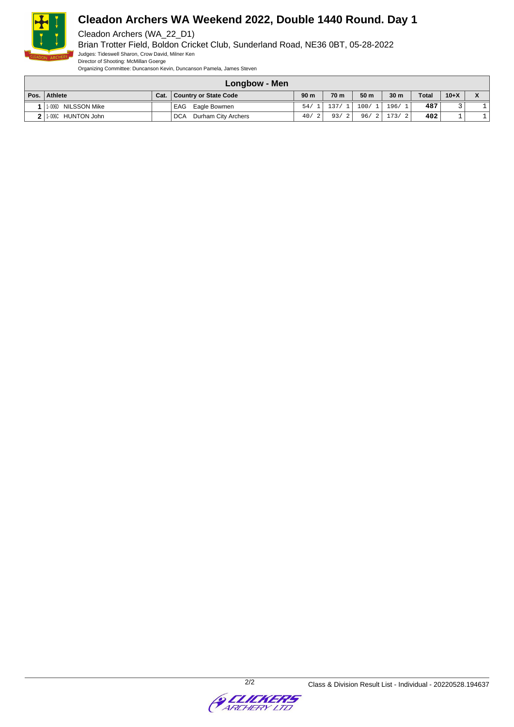

Cleadon Archers (WA\_22\_D1)

Brian Trotter Field, Boldon Cricket Club, Sunderland Road, NE36 0BT, 05-28-2022 Judges: Tideswell Sharon, Crow David, Milner Ken

Director of Shooting: McMillan Goerge

Organizing Committee: Duncanson Kevin, Duncanson Pamela, James Steven

| Longbow - Men |                      |      |                                   |                 |              |                 |                 |              |          |  |
|---------------|----------------------|------|-----------------------------------|-----------------|--------------|-----------------|-----------------|--------------|----------|--|
| Pos.          | Athlete              | Cat. | Country or State Code             | 90 <sub>m</sub> | 70 m         | 50 <sub>m</sub> | 30 <sub>m</sub> | <b>Total</b> | $10 + X$ |  |
|               | 1-006D NILSSON Mike  |      | EAG<br>Eagle Bowmen               | 54/             | 137/1        | 100/1           | 196/1           | 487          |          |  |
|               | 2 1.006C HUNTON John |      | Durham City Archers<br><b>DCA</b> | 40/             | 93/<br>- 2 I | 96/2            | 173/2           | 402          |          |  |

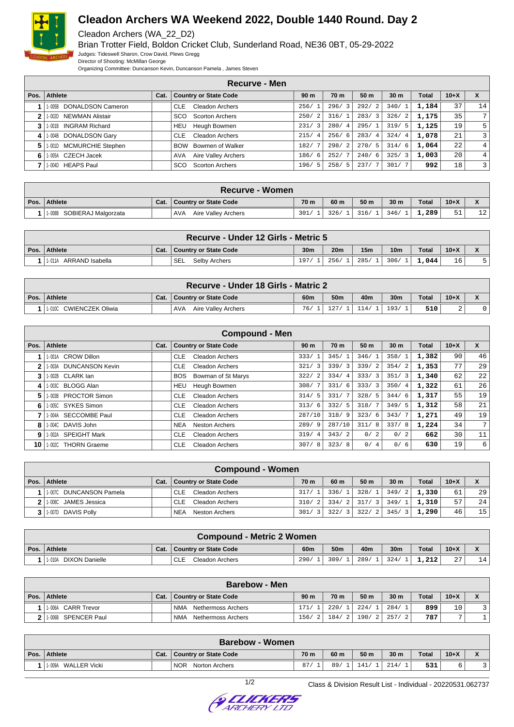

Cleadon Archers (WA\_22\_D2)

Brian Trotter Field, Boldon Cricket Club, Sunderland Road, NE36 0BT, 05-29-2022 Judges: Tideswell Sharon, Crow David, Plews Gregg

Director of Shooting: McMillan George

Organizing Committee: Duncanson Kevin, Duncanson Pamela , James Steven

|      |                                 |      | <b>Recurve - Men</b>                 |                        |                        |                        |                        |       |        |    |
|------|---------------------------------|------|--------------------------------------|------------------------|------------------------|------------------------|------------------------|-------|--------|----|
| Pos. | Athlete                         | Cat. | <b>Country or State Code</b>         | 90 m                   | 70 m                   | 50 <sub>m</sub>        | 30 <sub>m</sub>        | Total | $10+X$ |    |
|      | DONALDSON Cameron<br>1-005B     |      | <b>CLE</b><br>Cleadon Archers        | 256/                   | 296/                   | 292/<br>2              | 340/1                  | 1,184 | 37     | 14 |
|      | NEWMAN Alistair<br>1-002D       |      | <b>SCO</b><br><b>Scorton Archers</b> | $\overline{2}$<br>250/ | 316/                   | 283/<br>$\overline{3}$ | 326/2                  | 1,175 | 35     | 7  |
|      | <b>INGRAM Richard</b><br>1-001B |      | Heugh Bowmen<br>HEU                  | 3<br>231               | 280/<br>$\overline{4}$ | 295/1                  | 319/<br>- 5            | 1,125 | 19     | 5  |
| 4    | 1-004B DONALDSON Gary           |      | <b>Cleadon Archers</b><br><b>CLE</b> | 215/<br>$\overline{4}$ | 256/<br>-6             | 283/<br>-4             | 324/<br>$\overline{4}$ | 1,078 | 21     | 3  |
| 5    | 1-001D MCMURCHIE Stephen        |      | Bowmen of Walker<br><b>BOW</b>       | 182/                   | 298/                   | 270/<br>- 5            | 314/6                  | 1,064 | 22     | 4  |
| 6    | CZECH Jacek<br>1-005A           |      | Aire Valley Archers<br>AVA           | 186/<br>6              | 252/                   | 240/<br>- 6            | 325/3                  | 1,003 | 20     | 4  |
|      | <b>HEAPS Paul</b><br>1-004D     |      | <b>Scorton Archers</b><br>sco        | 196/<br>5              | 258/<br>5              | 237/                   | 301/7                  | 992   | 18     | 3  |

|        | <b>Recurve - Women</b>     |  |                                   |                 |      |                 |      |              |        |            |  |
|--------|----------------------------|--|-----------------------------------|-----------------|------|-----------------|------|--------------|--------|------------|--|
| Pos. I | Athlete                    |  | Cat.   Country or State Code      | 70 <sub>m</sub> | 60 m | 50 <sub>m</sub> | 30 m | <b>Total</b> | $10+X$ |            |  |
|        | 1-008B SOBIERAJ Malgorzata |  | <b>AVA</b><br>Aire Valley Archers | 301/            | 326/ | 316/1           | 346/ | 1,289        | 51     | ו רו<br>⊥∠ |  |

| Recurve - Under 12 Girls - Metric 5 |  |                              |                 |                 |                 |                 |              |        |  |  |
|-------------------------------------|--|------------------------------|-----------------|-----------------|-----------------|-----------------|--------------|--------|--|--|
| Pos. Athlete                        |  | Cat.   Country or State Code | 30 <sub>m</sub> | 20 <sub>m</sub> | 15 <sub>m</sub> | 10 <sub>m</sub> | <b>Total</b> | $10+X$ |  |  |
| ARRAND Isabella<br>1-011A           |  | <b>SEL</b><br>Selby Archers  | 197.            | 256/            | 285/            | 306/            | 1.044        | 16     |  |  |

| Recurve - Under 18 Girls - Matric 2 |      |                                   |     |                 |     |                 |              |        |  |  |
|-------------------------------------|------|-----------------------------------|-----|-----------------|-----|-----------------|--------------|--------|--|--|
| Pos. Athlete                        | Cat. | Country or State Code             | 60m | 50 <sub>m</sub> | 40m | 30 <sub>m</sub> | <b>Total</b> | $10+X$ |  |  |
| CWIENCZEK Oliwia<br>1-010C          |      | <b>AVA</b><br>Aire Valley Archers | 76/ | 107             |     | 193/            | 510          |        |  |  |

| <b>Compound - Men</b> |                                  |      |                                      |                        |                        |       |                 |              |        |                |
|-----------------------|----------------------------------|------|--------------------------------------|------------------------|------------------------|-------|-----------------|--------------|--------|----------------|
| Pos.                  | <b>Athlete</b>                   | Cat. | <b>Country or State Code</b>         | 90 <sub>m</sub>        | 70 m                   | 50 m  | 30 <sub>m</sub> | <b>Total</b> | $10+X$ | X              |
|                       | <b>CROW Dillon</b><br>I-001A     |      | CLE<br>Cleadon Archers               | 333/<br>$\overline{1}$ | 345/                   | 346/1 | 358/1           | 1,382        | 90     | 46             |
| 2                     | <b>DUNCANSON Kevin</b><br>1-003A |      | Cleadon Archers<br><b>CLE</b>        | $\mathbf{3}$<br>321/   | 339/3                  | 339/2 | 354/2           | 1,353        | 77     | 29             |
| 3                     | 1-002B CLARK lan                 |      | Bowman of St Marys<br><b>BOS</b>     | 322/2                  | 334/<br>$\overline{4}$ | 333/3 | 351/3           | 1,340        | 62     | 22             |
| 4                     | 1-003C BLOGG Alan                |      | Heugh Bowmen<br>HEU                  | 308/7                  | 331/6                  | 333/3 | 350/4           | 1,322        | 61     | 26             |
| 5                     | <b>PROCTOR Simon</b><br>1-003B   |      | <b>Cleadon Archers</b><br><b>CLE</b> | 314/5                  | 331/                   | 328/5 | 344/6           | 1,317        | 55     | 19             |
| 6                     | 1-005C SYKES Simon               |      | Cleadon Archers<br><b>CLE</b>        | 313/6                  | 332/<br>-5             | 318/7 | 349/5           | 1,312        | 58     | 21             |
|                       | <b>SECCOMBE Paul</b><br>1-004A   |      | Cleadon Archers<br><b>CLE</b>        | 287/10                 | 318/9                  | 323/6 | 343/7           | 1,271        | 49     | 19             |
| 8                     | 1-004C DAVIS John                |      | <b>NEA</b><br><b>Neston Archers</b>  | 289/9                  | 287/10                 | 311/8 | 337/8           | 1,224        | 34     | 7 <sup>1</sup> |
| 9                     | <b>SPEIGHT Mark</b><br>1-002A    |      | <b>CLE</b><br><b>Cleadon Archers</b> | 319/<br>$\overline{4}$ | 343/2                  | 0/2   | 0/2             | 662          | 30     | 11             |
| 10                    | <b>THORN Graeme</b><br>1-002C    |      | <b>CLE</b><br><b>Cleadon Archers</b> | 307/8                  | 323/<br>8              | 0/4   | 0/6             | 630          | 19     | 6              |

|      | <b>Compound - Women</b> |  |                               |                        |                    |                 |                 |       |        |    |  |
|------|-------------------------|--|-------------------------------|------------------------|--------------------|-----------------|-----------------|-------|--------|----|--|
| Pos. | Athlete                 |  | Cat.   Country or State Code  | 70 m                   | 60 m               | 50 <sub>m</sub> | 30 <sub>m</sub> | Total | $10+X$ |    |  |
|      | 1-007C DUNCANSON Pamela |  | <b>Cleadon Archers</b><br>CLE | 317/1                  | 336/1              | 328/1           | 349/2           | 1,330 | 61     | 29 |  |
|      | 1-008C JAMES Jessica    |  | Cleadon Archers<br><b>CLE</b> | 310/<br>$\sqrt{2}$     | 334/<br>$\sqrt{2}$ | 317/3           | 349/1           | 1,310 | 57     | 24 |  |
|      | 3 1.007D DAVIS Polly    |  | <b>NEA</b><br>Neston Archers  | 301/<br>$\overline{3}$ | 322/               | 322/2           | 345/            | 1,290 | 46     | 15 |  |

| <b>Compound - Metric 2 Women</b> |      |                               |      |                 |      |      |              |                |              |  |
|----------------------------------|------|-------------------------------|------|-----------------|------|------|--------------|----------------|--------------|--|
| Pos.   Athlete                   | Cat. | Country or State Code         | 60m  | 50 <sub>m</sub> | 40m  | 30m  | <b>Total</b> | $10+X$         | $\mathbf{v}$ |  |
| DIXON Danielle<br>1-010A         |      | Cleadon Archers<br><b>CLE</b> | 290/ | 309             | 289/ | 324/ | 1,212        | $\Omega$<br>Ζ. |              |  |

| <b>Barebow - Men</b> |                      |      |                              |                 |       |                 |                 |              |        |  |
|----------------------|----------------------|------|------------------------------|-----------------|-------|-----------------|-----------------|--------------|--------|--|
| Pos.                 | <b>Athlete</b>       | Cat. | <b>Country or State Code</b> | 90 <sub>m</sub> | 70 m  | 50 <sub>m</sub> | 30 <sub>m</sub> | <b>Total</b> | $10+X$ |  |
|                      | 11-006A CARR Trevor  |      | NMA<br>Nethermoss Archers    | 171/            | 220/  | 224/1           | 284/            | 899          | 10     |  |
|                      | 11-006B SPENCER Paul |      | Nethermoss Archers<br>NMA    | 156/2           | 184/2 | $190/2$   257/  |                 | 787          |        |  |

|      | <b>Barebow - Women</b> |      |                                     |      |      |                 |                 |              |        |  |  |
|------|------------------------|------|-------------------------------------|------|------|-----------------|-----------------|--------------|--------|--|--|
| Pos. | <b>Athlete</b>         | Cat. | Country or State Code               | 70 m | 60 m | 50 <sub>m</sub> | 30 <sub>m</sub> | <b>Total</b> | $10+X$ |  |  |
|      | 1-009A<br>WALLER Vicki |      | <b>NOR</b><br><b>Norton Archers</b> | 87.  | 89   |                 |                 | 531          |        |  |  |